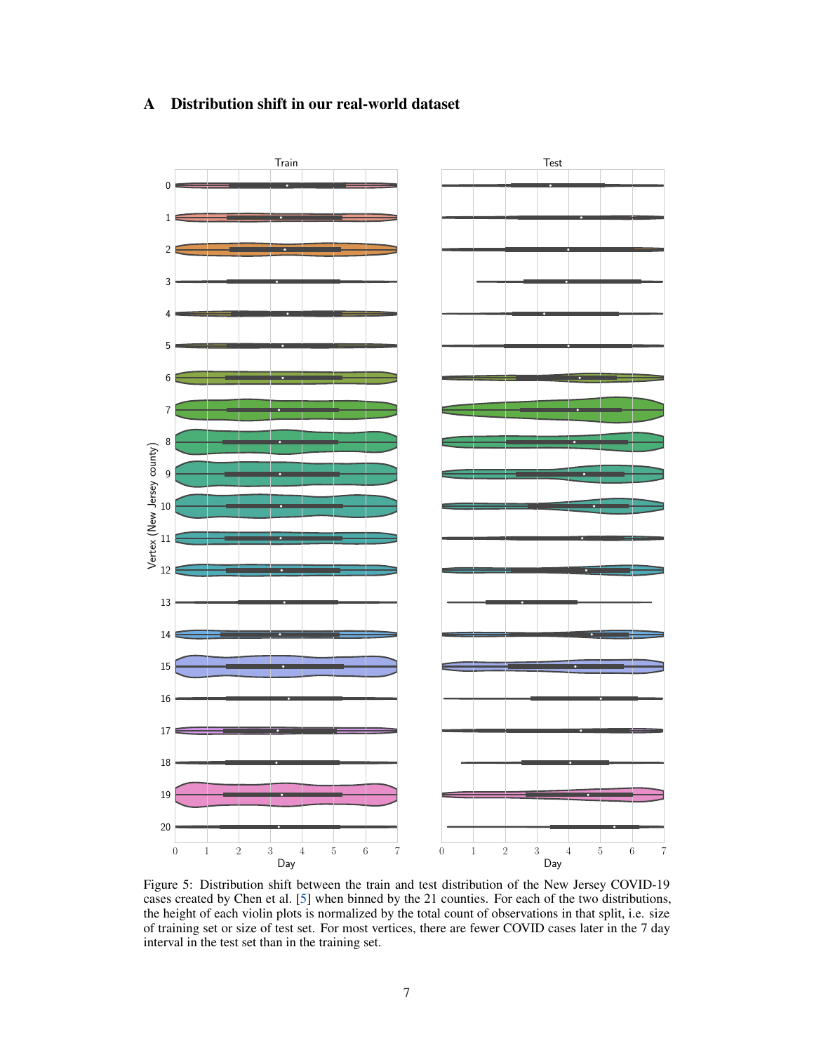# A Distribution shift in our real-world dataset

<span id="page-0-0"></span>

Figure 5: Distribution shift between the train and test distribution of the New Jersey COVID-19 cases created by Chen et al. [5] when binned by the 21 counties. For each of the two distributions, the height of each violin plots is normalized by the total count of observations in that split, i.e. size of training set or size of test set. For most vertices, there are fewer COVID cases later in the 7 day interval in the test set than in the training set.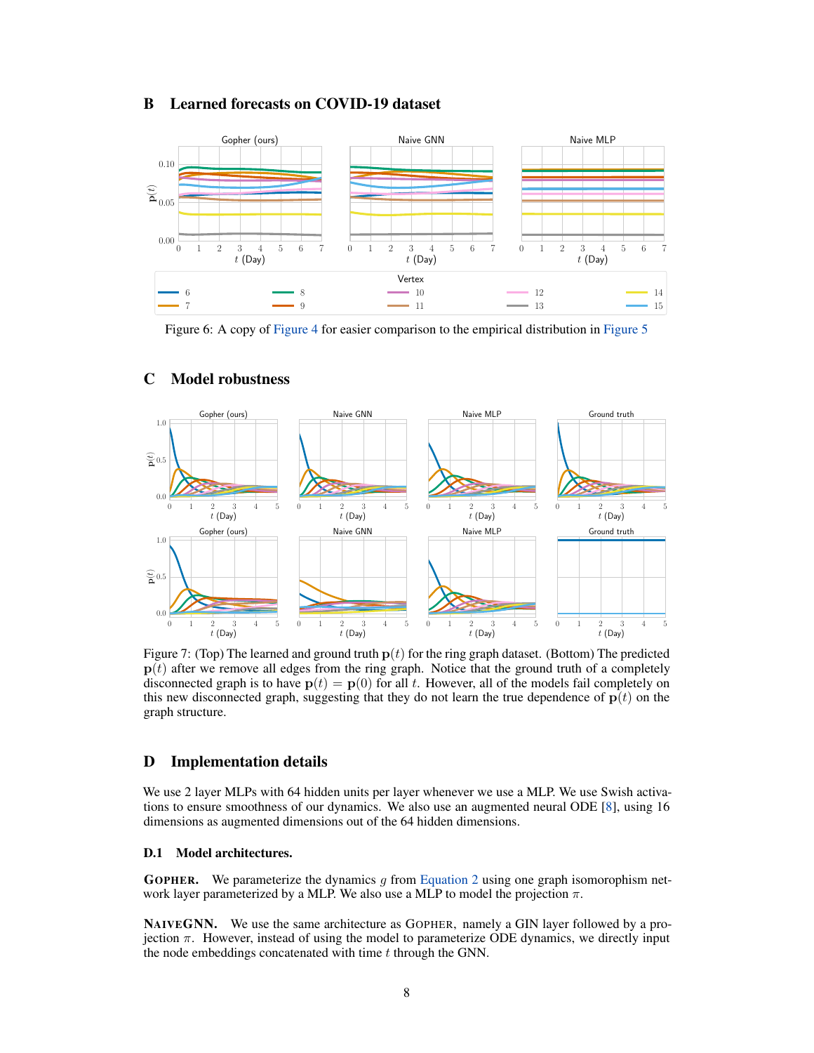## B Learned forecasts on COVID-19 dataset



Figure 6: A copy of Figure 4 for easier comparison to the empirical distribution in [Figure 5](#page-0-0)



#### C Model robustness

Figure 7: (Top) The learned and ground truth  $p(t)$  for the ring graph dataset. (Bottom) The predicted  $p(t)$  after we remove all edges from the ring graph. Notice that the ground truth of a completely disconnected graph is to have  $p(t) = p(0)$  for all *t*. However, all of the models fail completely on this new disconnected graph, suggesting that they do not learn the true dependence of  $p(t)$  on the graph structure.

## D Implementation details

We use 2 layer MLPs with 64 hidden units per layer whenever we use a MLP. We use Swish activations to ensure smoothness of our dynamics. We also use an augmented neural ODE [8], using 16 dimensions as augmented dimensions out of the 64 hidden dimensions.

### D.1 Model architectures.

GOPHER. We parameterize the dynamics *g* from Equation 2 using one graph isomorophism network layer parameterized by a MLP. We also use a MLP to model the projection  $\pi$ .

NAIVEGNN. We use the same architecture as GOPHER, namely a GIN layer followed by a projection  $\pi$ . However, instead of using the model to parameterize ODE dynamics, we directly input the node embeddings concatenated with time *t* through the GNN.